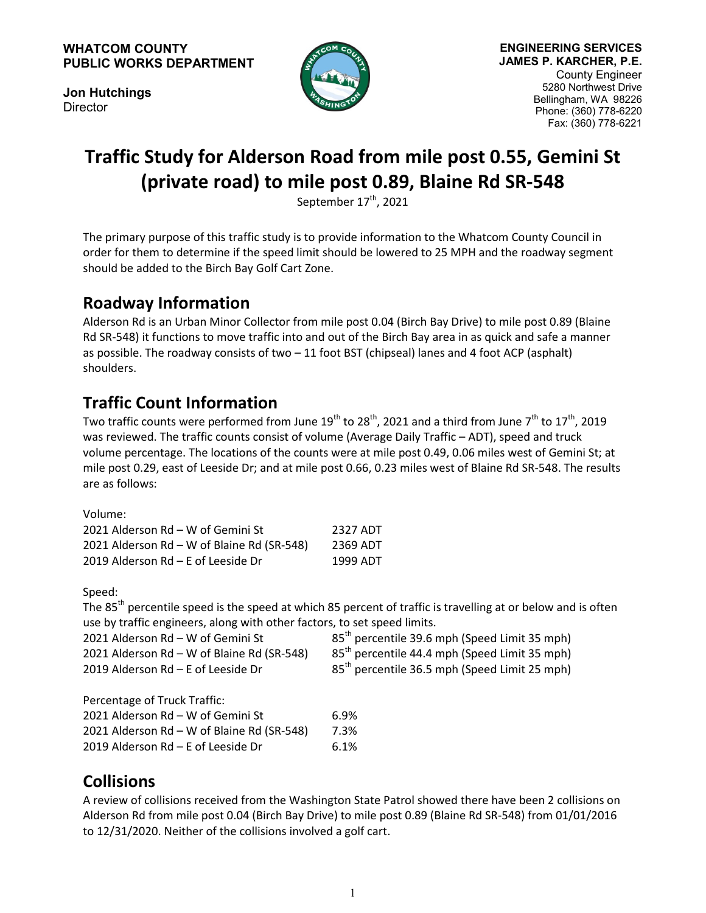**WHATCOM COUNTY PUBLIC WORKS DEPARTMENT**



**Jon Hutchings Director** 

# **Traffic Study for Alderson Road from mile post 0.55, Gemini St (private road) to mile post 0.89, Blaine Rd SR-548**

September  $17^{\text{th}}$ , 2021

The primary purpose of this traffic study is to provide information to the Whatcom County Council in order for them to determine if the speed limit should be lowered to 25 MPH and the roadway segment should be added to the Birch Bay Golf Cart Zone.

#### **Roadway Information**

Alderson Rd is an Urban Minor Collector from mile post 0.04 (Birch Bay Drive) to mile post 0.89 (Blaine Rd SR-548) it functions to move traffic into and out of the Birch Bay area in as quick and safe a manner as possible. The roadway consists of two – 11 foot BST (chipseal) lanes and 4 foot ACP (asphalt) shoulders.

### **Traffic Count Information**

Two traffic counts were performed from June 19<sup>th</sup> to 28<sup>th</sup>, 2021 and a third from June 7<sup>th</sup> to 17<sup>th</sup>, 2019 was reviewed. The traffic counts consist of volume (Average Daily Traffic – ADT), speed and truck volume percentage. The locations of the counts were at mile post 0.49, 0.06 miles west of Gemini St; at mile post 0.29, east of Leeside Dr; and at mile post 0.66, 0.23 miles west of Blaine Rd SR-548. The results are as follows:

Volume:

| 2021 Alderson Rd - W of Gemini St          | 2327 ADT |
|--------------------------------------------|----------|
| 2021 Alderson Rd - W of Blaine Rd (SR-548) | 2369 ADT |
| 2019 Alderson Rd – E of Leeside Dr         | 1999 ADT |

Speed:

The 85<sup>th</sup> percentile speed is the speed at which 85 percent of traffic is travelling at or below and is often use by traffic engineers, along with other factors, to set speed limits.

| 2021 Alderson Rd - W of Gemini St          | 85 <sup>th</sup> percentile 39.6 mph (Speed Limit 35 mph) |
|--------------------------------------------|-----------------------------------------------------------|
| 2021 Alderson Rd - W of Blaine Rd (SR-548) | 85 <sup>th</sup> percentile 44.4 mph (Speed Limit 35 mph) |
| 2019 Alderson Rd - E of Leeside Dr         | 85 <sup>th</sup> percentile 36.5 mph (Speed Limit 25 mph) |
| Percentage of Truck Traffic:               |                                                           |

Percentage of Truck Traffic: 2021 Alderson Rd – W of Gemini St 6.9% 2021 Alderson Rd – W of Blaine Rd (SR-548)  $7.3\%$ 2019 Alderson  $Rd - E$  of Leeside Dr 6.1%

# **Collisions**

A review of collisions received from the Washington State Patrol showed there have been 2 collisions on Alderson Rd from mile post 0.04 (Birch Bay Drive) to mile post 0.89 (Blaine Rd SR-548) from 01/01/2016 to 12/31/2020. Neither of the collisions involved a golf cart.